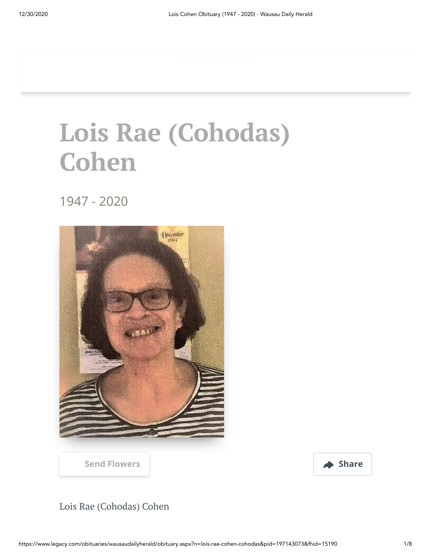## **Lois Rae (Cohodas) Cohen**

1947 - 2020



[Send Flowers](https://sympathy.legacy.com/en-us/funeral-flowers/name/lois-cohen-funeral-flowers/p197143073/?affiliateId=2559&pm=205) **Share** 

## Lois Rae (Cohodas) Cohen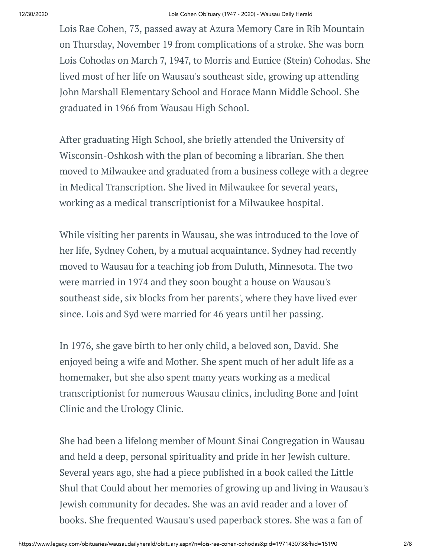Lois Rae Cohen, 73, passed away at Azura Memory Care in Rib Mountain on Thursday, November 19 from complications of a stroke. She was born Lois Cohodas on March 7, 1947, to Morris and Eunice (Stein) Cohodas. She lived most of her life on Wausau's southeast side, growing up attending John Marshall Elementary School and Horace Mann Middle School. She graduated in 1966 from Wausau High School.

After graduating High School, she briefly attended the University of Wisconsin-Oshkosh with the plan of becoming a librarian. She then moved to Milwaukee and graduated from a business college with a degree in Medical Transcription. She lived in Milwaukee for several years, working as a medical transcriptionist for a Milwaukee hospital.

While visiting her parents in Wausau, she was introduced to the love of her life, Sydney Cohen, by a mutual acquaintance. Sydney had recently moved to Wausau for a teaching job from Duluth, Minnesota. The two were married in 1974 and they soon bought a house on Wausau's southeast side, six blocks from her parents', where they have lived ever since. Lois and Syd were married for 46 years until her passing.

In 1976, she gave birth to her only child, a beloved son, David. She enjoyed being a wife and Mother. She spent much of her adult life as a homemaker, but she also spent many years working as a medical transcriptionist for numerous Wausau clinics, including Bone and Joint Clinic and the Urology Clinic.

She had been a lifelong member of Mount Sinai Congregation in Wausau and held a deep, personal spirituality and pride in her Jewish culture. Several years ago, she had a piece published in a book called the Little Shul that Could about her memories of growing up and living in Wausau's Jewish community for decades. She was an avid reader and a lover of books. She frequented Wausau's used paperback stores. She was a fan of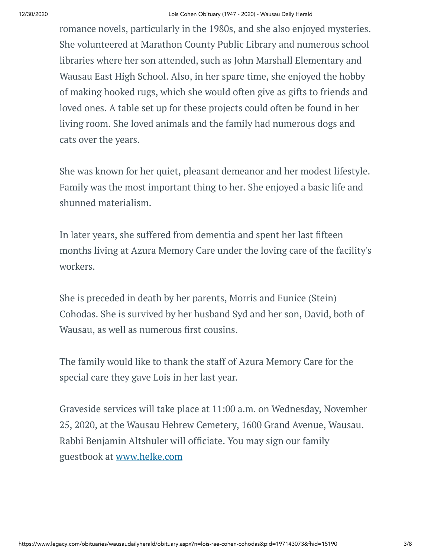romance novels, particularly in the 1980s, and she also enjoyed mysteries. She volunteered at Marathon County Public Library and numerous school libraries where her son attended, such as John Marshall Elementary and Wausau East High School. Also, in her spare time, she enjoyed the hobby of making hooked rugs, which she would often give as gifts to friends and loved ones. A table set up for these projects could often be found in her living room. She loved animals and the family had numerous dogs and cats over the years.

She was known for her quiet, pleasant demeanor and her modest lifestyle. Family was the most important thing to her. She enjoyed a basic life and shunned materialism.

In later years, she suffered from dementia and spent her last fifteen months living at Azura Memory Care under the loving care of the facility's workers.

She is preceded in death by her parents, Morris and Eunice (Stein) Cohodas. She is survived by her husband Syd and her son, David, both of Wausau, as well as numerous first cousins.

The family would like to thank the staff of Azura Memory Care for the special care they gave Lois in her last year.

Graveside services will take place at 11:00 a.m. on Wednesday, November 25, 2020, at the Wausau Hebrew Cemetery, 1600 Grand Avenue, Wausau. Rabbi Benjamin Altshuler will officiate. You may sign our family guestbook at [www.helke.com](http://www.helke.com/)